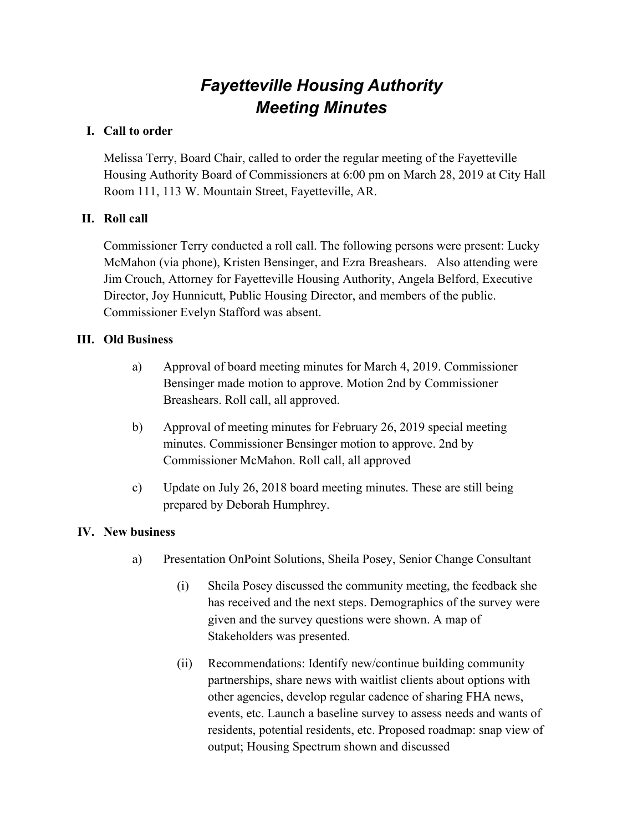# *Fayetteville Housing Authority Meeting Minutes*

#### **I. Call to order**

Melissa Terry, Board Chair, called to order the regular meeting of the Fayetteville Housing Authority Board of Commissioners at 6:00 pm on March 28, 2019 at City Hall Room 111, 113 W. Mountain Street, Fayetteville, AR.

### **II. Roll call**

Commissioner Terry conducted a roll call. The following persons were present: Lucky McMahon (via phone), Kristen Bensinger, and Ezra Breashears. Also attending were Jim Crouch, Attorney for Fayetteville Housing Authority, Angela Belford, Executive Director, Joy Hunnicutt, Public Housing Director, and members of the public. Commissioner Evelyn Stafford was absent.

#### **III. Old Business**

- a) Approval of board meeting minutes for March 4, 2019. Commissioner Bensinger made motion to approve. Motion 2nd by Commissioner Breashears. Roll call, all approved.
- b) Approval of meeting minutes for February 26, 2019 special meeting minutes. Commissioner Bensinger motion to approve. 2nd by Commissioner McMahon. Roll call, all approved
- c) Update on July 26, 2018 board meeting minutes. These are still being prepared by Deborah Humphrey.

#### **IV. New business**

- a) Presentation OnPoint Solutions, Sheila Posey, Senior Change Consultant
	- (i) Sheila Posey discussed the community meeting, the feedback she has received and the next steps. Demographics of the survey were given and the survey questions were shown. A map of Stakeholders was presented.
	- (ii) Recommendations: Identify new/continue building community partnerships, share news with waitlist clients about options with other agencies, develop regular cadence of sharing FHA news, events, etc. Launch a baseline survey to assess needs and wants of residents, potential residents, etc. Proposed roadmap: snap view of output; Housing Spectrum shown and discussed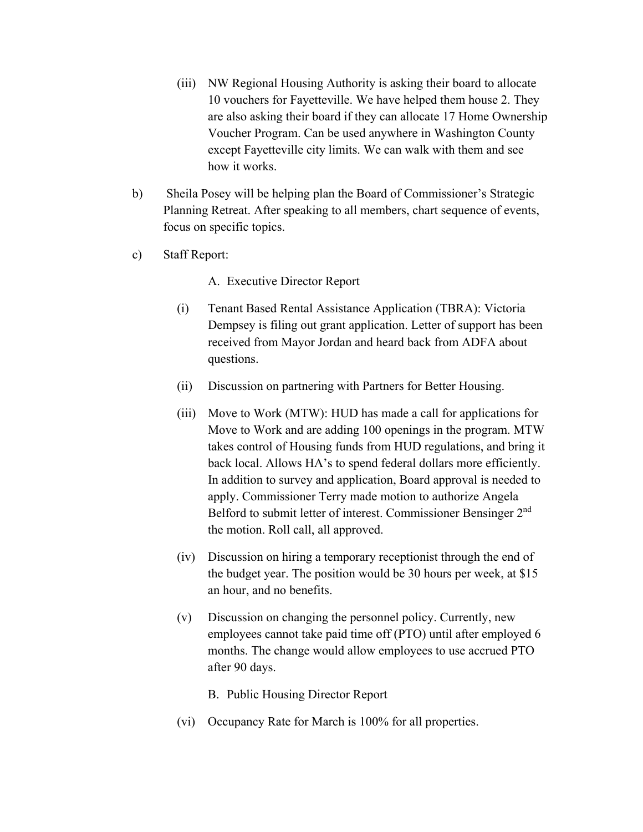- (iii) NW Regional Housing Authority is asking their board to allocate 10 vouchers for Fayetteville. We have helped them house 2. They are also asking their board if they can allocate 17 Home Ownership Voucher Program. Can be used anywhere in Washington County except Fayetteville city limits. We can walk with them and see how it works.
- b) Sheila Posey will be helping plan the Board of Commissioner's Strategic Planning Retreat. After speaking to all members, chart sequence of events, focus on specific topics.
- c) Staff Report:

A. Executive Director Report

- (i) Tenant Based Rental Assistance Application (TBRA): Victoria Dempsey is filing out grant application. Letter of support has been received from Mayor Jordan and heard back from ADFA about questions.
- (ii) Discussion on partnering with Partners for Better Housing.
- (iii) Move to Work (MTW): HUD has made a call for applications for Move to Work and are adding 100 openings in the program. MTW takes control of Housing funds from HUD regulations, and bring it back local. Allows HA's to spend federal dollars more efficiently. In addition to survey and application, Board approval is needed to apply. Commissioner Terry made motion to authorize Angela Belford to submit letter of interest. Commissioner Bensinger 2<sup>nd</sup> the motion. Roll call, all approved.
- (iv) Discussion on hiring a temporary receptionist through the end of the budget year. The position would be 30 hours per week, at \$15 an hour, and no benefits.
- (v) Discussion on changing the personnel policy. Currently, new employees cannot take paid time off (PTO) until after employed 6 months. The change would allow employees to use accrued PTO after 90 days.

B. Public Housing Director Report

(vi) Occupancy Rate for March is 100% for all properties.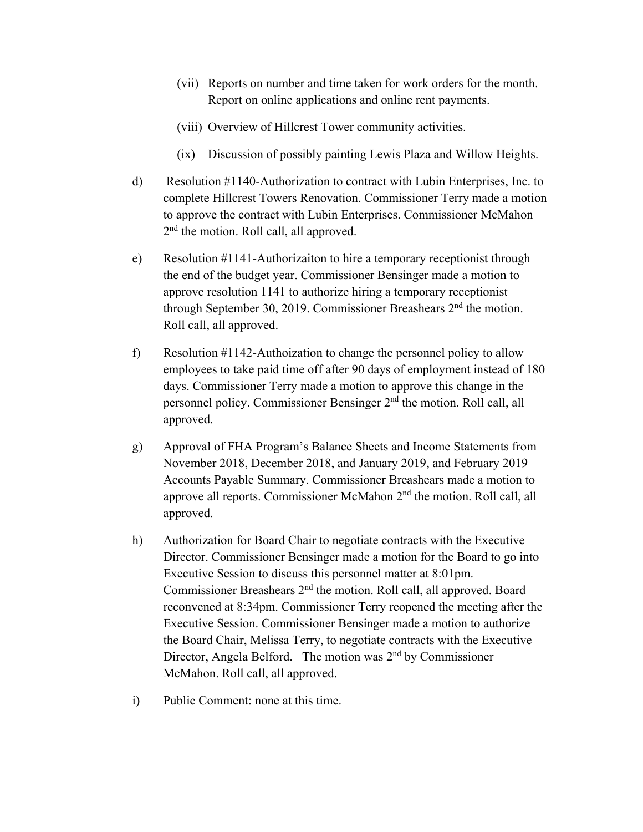- (vii) Reports on number and time taken for work orders for the month. Report on online applications and online rent payments.
- (viii) Overview of Hillcrest Tower community activities.
- (ix) Discussion of possibly painting Lewis Plaza and Willow Heights.
- d) Resolution #1140-Authorization to contract with Lubin Enterprises, Inc. to complete Hillcrest Towers Renovation. Commissioner Terry made a motion to approve the contract with Lubin Enterprises. Commissioner McMahon 2<sup>nd</sup> the motion. Roll call, all approved.
- e) Resolution #1141-Authorizaiton to hire a temporary receptionist through the end of the budget year. Commissioner Bensinger made a motion to approve resolution 1141 to authorize hiring a temporary receptionist through September 30, 2019. Commissioner Breashears  $2<sup>nd</sup>$  the motion. Roll call, all approved.
- f) Resolution #1142-Authoization to change the personnel policy to allow employees to take paid time off after 90 days of employment instead of 180 days. Commissioner Terry made a motion to approve this change in the personnel policy. Commissioner Bensinger 2nd the motion. Roll call, all approved.
- g) Approval of FHA Program's Balance Sheets and Income Statements from November 2018, December 2018, and January 2019, and February 2019 Accounts Payable Summary. Commissioner Breashears made a motion to approve all reports. Commissioner McMahon 2nd the motion. Roll call, all approved.
- h) Authorization for Board Chair to negotiate contracts with the Executive Director. Commissioner Bensinger made a motion for the Board to go into Executive Session to discuss this personnel matter at 8:01pm. Commissioner Breashears 2<sup>nd</sup> the motion. Roll call, all approved. Board reconvened at 8:34pm. Commissioner Terry reopened the meeting after the Executive Session. Commissioner Bensinger made a motion to authorize the Board Chair, Melissa Terry, to negotiate contracts with the Executive Director, Angela Belford. The motion was 2<sup>nd</sup> by Commissioner McMahon. Roll call, all approved.
- i) Public Comment: none at this time.